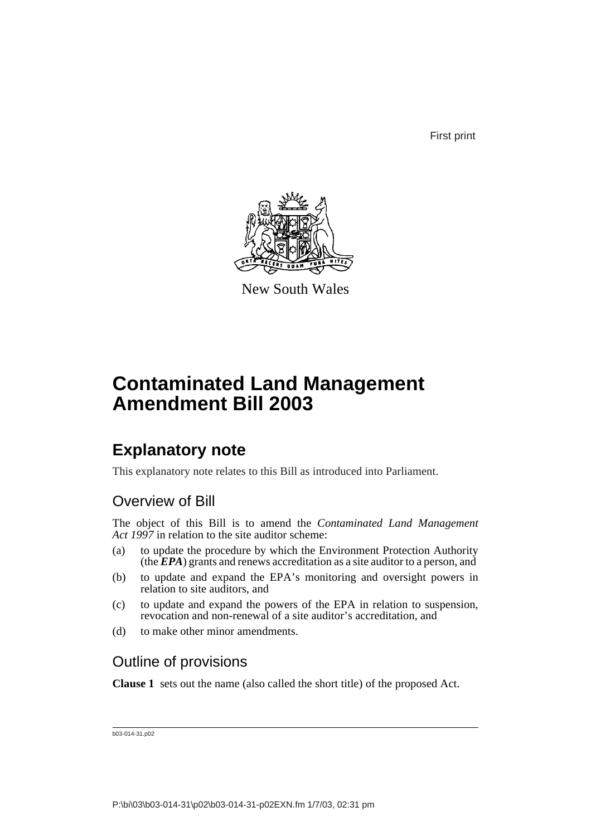First print



New South Wales

# **Contaminated Land Management Amendment Bill 2003**

# **Explanatory note**

This explanatory note relates to this Bill as introduced into Parliament.

## Overview of Bill

The object of this Bill is to amend the *Contaminated Land Management Act 1997* in relation to the site auditor scheme:

- (a) to update the procedure by which the Environment Protection Authority (the *EPA*) grants and renews accreditation as a site auditor to a person, and
- (b) to update and expand the EPA's monitoring and oversight powers in relation to site auditors, and
- (c) to update and expand the powers of the EPA in relation to suspension, revocation and non-renewal of a site auditor's accreditation, and
- (d) to make other minor amendments.

## Outline of provisions

**Clause 1** sets out the name (also called the short title) of the proposed Act.

```
b03-014-31.p02
```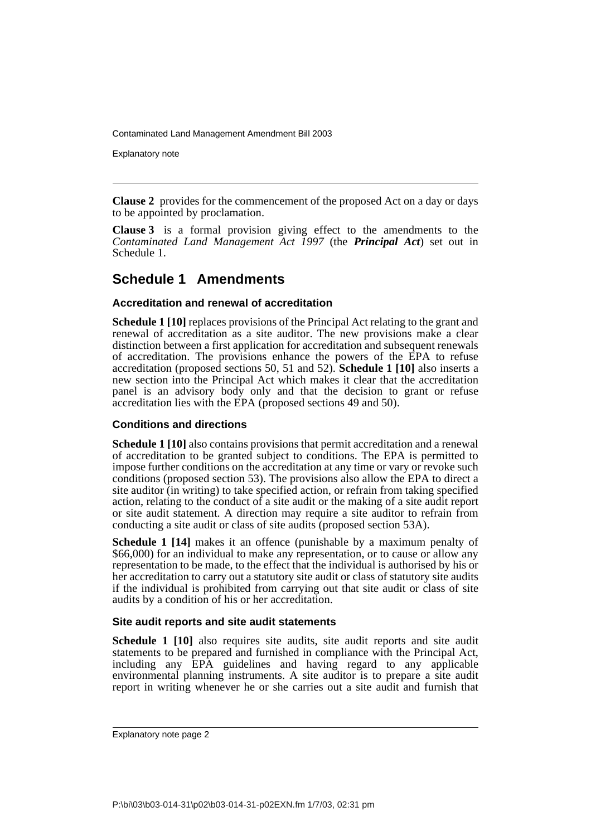Explanatory note

**Clause 2** provides for the commencement of the proposed Act on a day or days to be appointed by proclamation.

**Clause 3** is a formal provision giving effect to the amendments to the *Contaminated Land Management Act 1997* (the *Principal Act*) set out in Schedule 1.

### **Schedule 1 Amendments**

### **Accreditation and renewal of accreditation**

**Schedule 1 [10]** replaces provisions of the Principal Act relating to the grant and renewal of accreditation as a site auditor. The new provisions make a clear distinction between a first application for accreditation and subsequent renewals of accreditation. The provisions enhance the powers of the EPA to refuse accreditation (proposed sections 50, 51 and 52). **Schedule 1 [10]** also inserts a new section into the Principal Act which makes it clear that the accreditation panel is an advisory body only and that the decision to grant or refuse accreditation lies with the EPA (proposed sections 49 and 50).

### **Conditions and directions**

**Schedule 1 [10]** also contains provisions that permit accreditation and a renewal of accreditation to be granted subject to conditions. The EPA is permitted to impose further conditions on the accreditation at any time or vary or revoke such conditions (proposed section 53). The provisions also allow the EPA to direct a site auditor (in writing) to take specified action, or refrain from taking specified action, relating to the conduct of a site audit or the making of a site audit report or site audit statement. A direction may require a site auditor to refrain from conducting a site audit or class of site audits (proposed section 53A).

**Schedule 1 [14]** makes it an offence (punishable by a maximum penalty of \$66,000) for an individual to make any representation, or to cause or allow any representation to be made, to the effect that the individual is authorised by his or her accreditation to carry out a statutory site audit or class of statutory site audits if the individual is prohibited from carrying out that site audit or class of site audits by a condition of his or her accreditation.

### **Site audit reports and site audit statements**

Schedule 1 [10] also requires site audits, site audit reports and site audit statements to be prepared and furnished in compliance with the Principal Act, including any EPA guidelines and having regard to any applicable environmental planning instruments. A site auditor is to prepare a site audit report in writing whenever he or she carries out a site audit and furnish that

Explanatory note page 2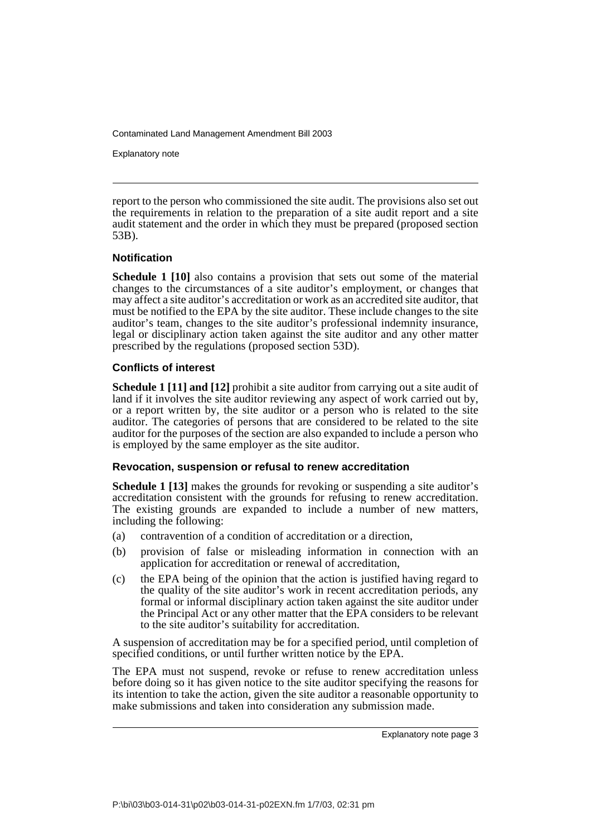Explanatory note

report to the person who commissioned the site audit. The provisions also set out the requirements in relation to the preparation of a site audit report and a site audit statement and the order in which they must be prepared (proposed section 53B).

### **Notification**

**Schedule 1 [10]** also contains a provision that sets out some of the material changes to the circumstances of a site auditor's employment, or changes that may affect a site auditor's accreditation or work as an accredited site auditor, that must be notified to the EPA by the site auditor. These include changes to the site auditor's team, changes to the site auditor's professional indemnity insurance, legal or disciplinary action taken against the site auditor and any other matter prescribed by the regulations (proposed section 53D).

### **Conflicts of interest**

**Schedule 1 [11] and [12]** prohibit a site auditor from carrying out a site audit of land if it involves the site auditor reviewing any aspect of work carried out by, or a report written by, the site auditor or a person who is related to the site auditor. The categories of persons that are considered to be related to the site auditor for the purposes of the section are also expanded to include a person who is employed by the same employer as the site auditor.

### **Revocation, suspension or refusal to renew accreditation**

**Schedule 1 [13]** makes the grounds for revoking or suspending a site auditor's accreditation consistent with the grounds for refusing to renew accreditation. The existing grounds are expanded to include a number of new matters, including the following:

- (a) contravention of a condition of accreditation or a direction,
- (b) provision of false or misleading information in connection with an application for accreditation or renewal of accreditation,
- (c) the EPA being of the opinion that the action is justified having regard to the quality of the site auditor's work in recent accreditation periods, any formal or informal disciplinary action taken against the site auditor under the Principal Act or any other matter that the EPA considers to be relevant to the site auditor's suitability for accreditation.

A suspension of accreditation may be for a specified period, until completion of specified conditions, or until further written notice by the EPA.

The EPA must not suspend, revoke or refuse to renew accreditation unless before doing so it has given notice to the site auditor specifying the reasons for its intention to take the action, given the site auditor a reasonable opportunity to make submissions and taken into consideration any submission made.

Explanatory note page 3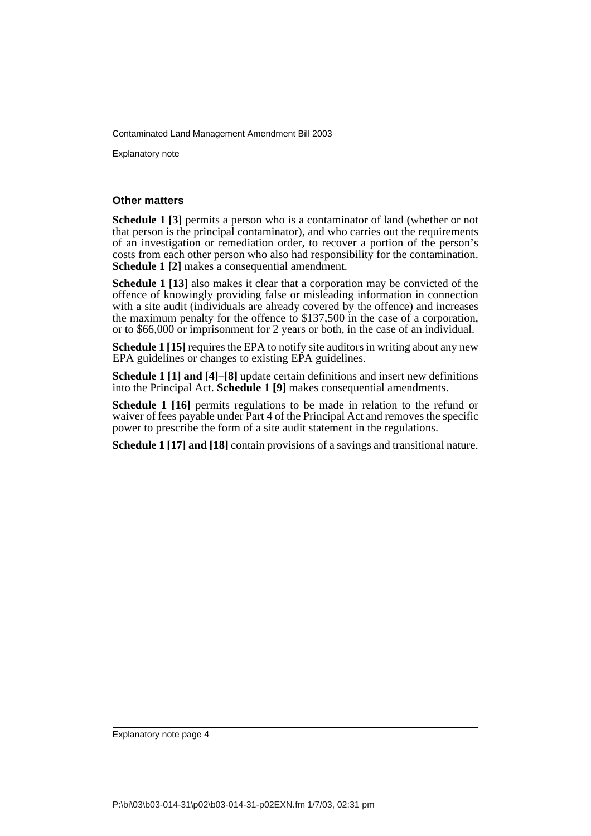Explanatory note

### **Other matters**

**Schedule 1 [3]** permits a person who is a contaminator of land (whether or not that person is the principal contaminator), and who carries out the requirements of an investigation or remediation order, to recover a portion of the person's costs from each other person who also had responsibility for the contamination. **Schedule 1 [2] makes a consequential amendment.** 

**Schedule 1 [13]** also makes it clear that a corporation may be convicted of the offence of knowingly providing false or misleading information in connection with a site audit (individuals are already covered by the offence) and increases the maximum penalty for the offence to \$137,500 in the case of a corporation, or to \$66,000 or imprisonment for 2 years or both, in the case of an individual.

**Schedule 1 [15]** requires the EPA to notify site auditors in writing about any new EPA guidelines or changes to existing EPA guidelines.

**Schedule 1 [1] and [4]–[8]** update certain definitions and insert new definitions into the Principal Act. **Schedule 1 [9]** makes consequential amendments.

**Schedule 1 [16]** permits regulations to be made in relation to the refund or waiver of fees payable under Part 4 of the Principal Act and removes the specific power to prescribe the form of a site audit statement in the regulations.

**Schedule 1 [17] and [18]** contain provisions of a savings and transitional nature.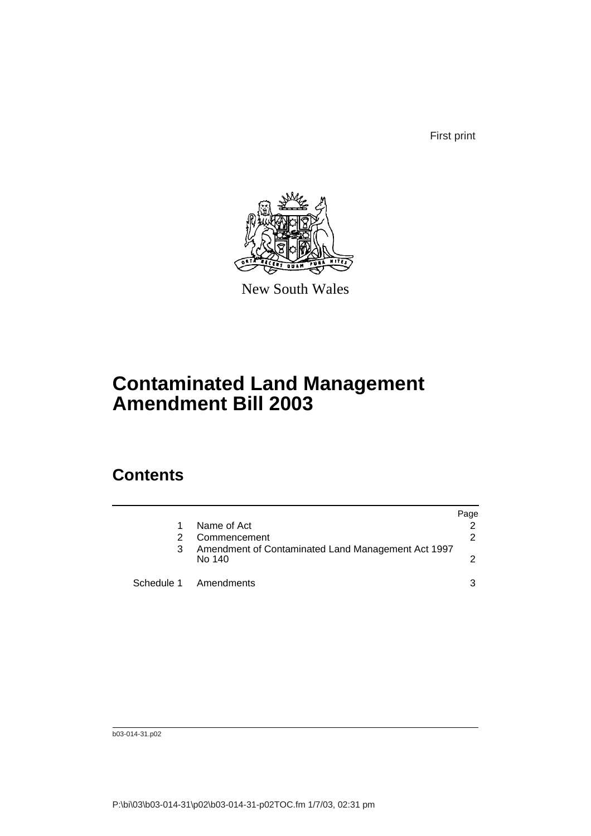First print



New South Wales

# **Contaminated Land Management Amendment Bill 2003**

## **Contents**

|   |                                                              | Page |
|---|--------------------------------------------------------------|------|
|   | Name of Act                                                  |      |
| 2 | Commencement                                                 | 2    |
|   | Amendment of Contaminated Land Management Act 1997<br>No 140 |      |
|   | Schedule 1 Amendments                                        | 3    |

b03-014-31.p02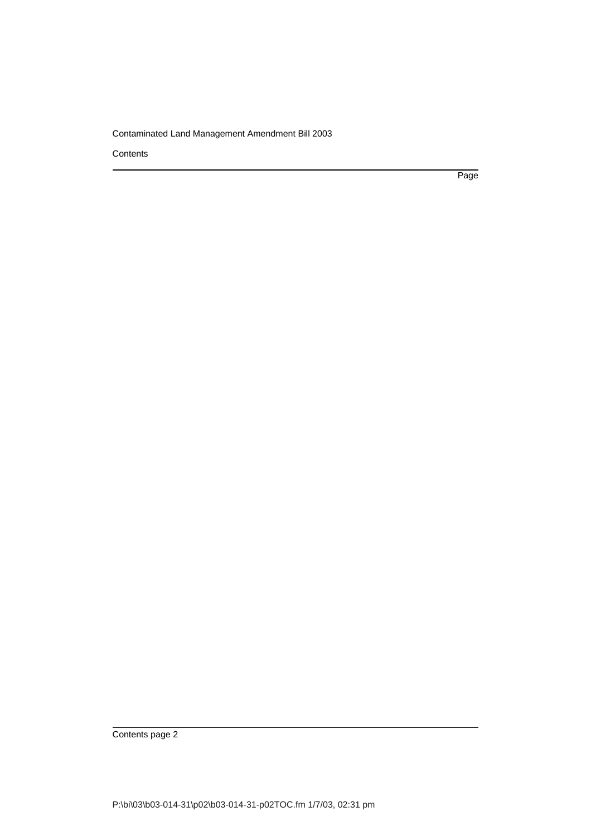**Contents** 

Page

Contents page 2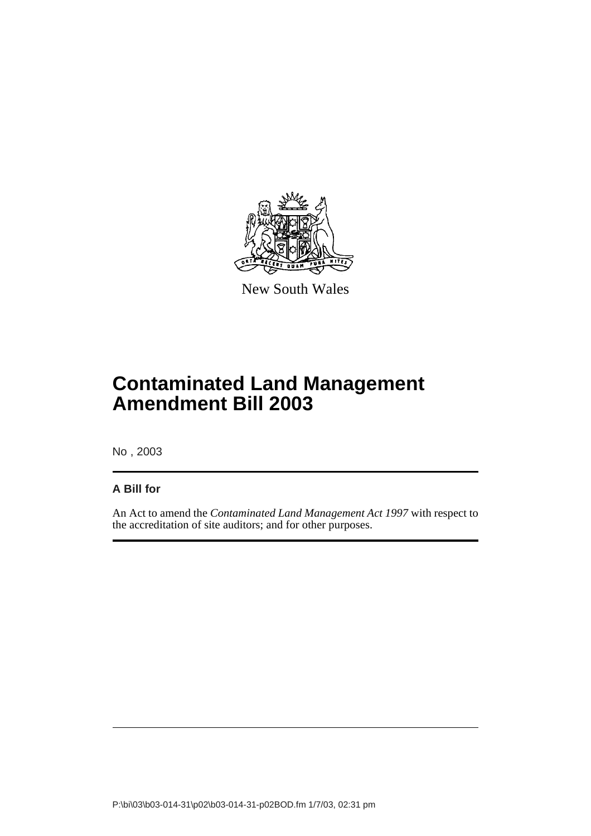

New South Wales

# **Contaminated Land Management Amendment Bill 2003**

No , 2003

### **A Bill for**

An Act to amend the *Contaminated Land Management Act 1997* with respect to the accreditation of site auditors; and for other purposes.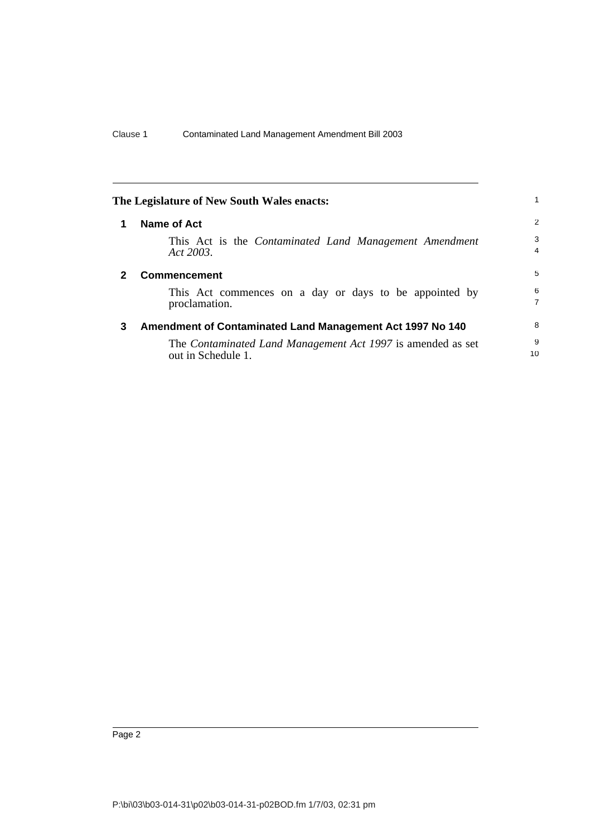<span id="page-7-2"></span><span id="page-7-1"></span><span id="page-7-0"></span>

| The Legislature of New South Wales enacts: |                                                                                          |                      |
|--------------------------------------------|------------------------------------------------------------------------------------------|----------------------|
|                                            | Name of Act                                                                              | 2                    |
|                                            | This Act is the <i>Contaminated Land Management Amendment</i><br>Act 2003.               | 3<br>4               |
|                                            | <b>Commencement</b>                                                                      | 5                    |
|                                            | This Act commences on a day or days to be appointed by<br>proclamation.                  | 6<br>$\overline{7}$  |
| 3                                          | Amendment of Contaminated Land Management Act 1997 No 140                                | 8                    |
|                                            | The <i>Contaminated Land Management Act 1997</i> is amended as set<br>out in Schedule 1. | 9<br>10 <sup>1</sup> |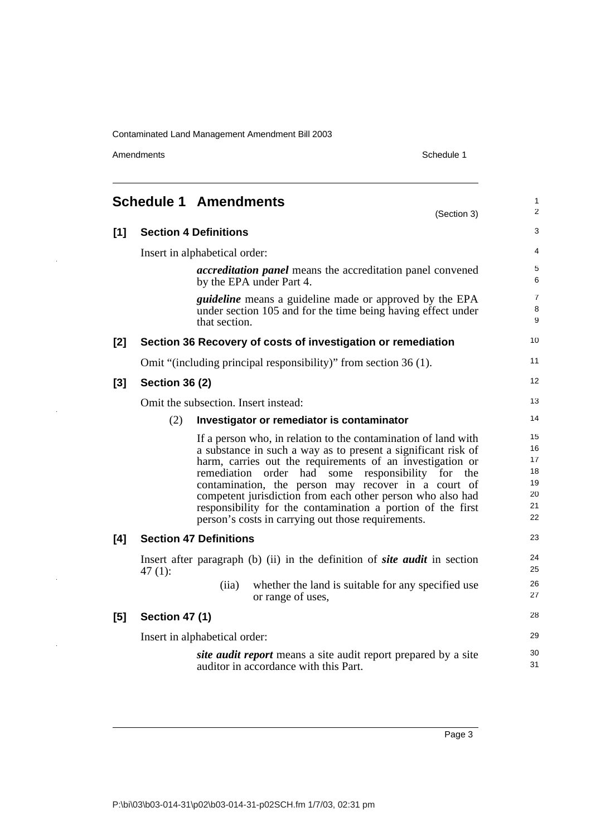Amendments Schedule 1

l,

Ù.

J.

<span id="page-8-0"></span>

|       |                       | <b>Schedule 1 Amendments</b><br>(Section 3)                                                                                                                                                                                                                                                                                                                                                                                                                                                       | $\mathbf{1}$<br>$\overline{2}$               |
|-------|-----------------------|---------------------------------------------------------------------------------------------------------------------------------------------------------------------------------------------------------------------------------------------------------------------------------------------------------------------------------------------------------------------------------------------------------------------------------------------------------------------------------------------------|----------------------------------------------|
| $[1]$ |                       | <b>Section 4 Definitions</b>                                                                                                                                                                                                                                                                                                                                                                                                                                                                      | 3                                            |
|       |                       | Insert in alphabetical order:                                                                                                                                                                                                                                                                                                                                                                                                                                                                     | 4                                            |
|       |                       | <i>accreditation panel</i> means the accreditation panel convened<br>by the EPA under Part 4.                                                                                                                                                                                                                                                                                                                                                                                                     | 5<br>6                                       |
|       |                       | <i>guideline</i> means a guideline made or approved by the EPA<br>under section 105 and for the time being having effect under<br>that section.                                                                                                                                                                                                                                                                                                                                                   | $\overline{7}$<br>8<br>9                     |
| [2]   |                       | Section 36 Recovery of costs of investigation or remediation                                                                                                                                                                                                                                                                                                                                                                                                                                      | 10                                           |
|       |                       | Omit "(including principal responsibility)" from section 36 (1).                                                                                                                                                                                                                                                                                                                                                                                                                                  | 11                                           |
| $[3]$ | <b>Section 36 (2)</b> |                                                                                                                                                                                                                                                                                                                                                                                                                                                                                                   | 12                                           |
|       |                       | Omit the subsection. Insert instead:                                                                                                                                                                                                                                                                                                                                                                                                                                                              | 13                                           |
|       | (2)                   | Investigator or remediator is contaminator                                                                                                                                                                                                                                                                                                                                                                                                                                                        | 14                                           |
|       |                       | If a person who, in relation to the contamination of land with<br>a substance in such a way as to present a significant risk of<br>harm, carries out the requirements of an investigation or<br>remediation<br>order had some responsibility for<br>the<br>contamination, the person may recover in a court of<br>competent jurisdiction from each other person who also had<br>responsibility for the contamination a portion of the first<br>person's costs in carrying out those requirements. | 15<br>16<br>17<br>18<br>19<br>20<br>21<br>22 |
| [4]   |                       | <b>Section 47 Definitions</b>                                                                                                                                                                                                                                                                                                                                                                                                                                                                     | 23                                           |
|       | 47 $(1)$ :            | Insert after paragraph (b) (ii) in the definition of <i>site audit</i> in section                                                                                                                                                                                                                                                                                                                                                                                                                 | 24<br>25                                     |
|       |                       | whether the land is suitable for any specified use<br>(iia)<br>or range of uses,                                                                                                                                                                                                                                                                                                                                                                                                                  | 26<br>27                                     |
| [5]   | <b>Section 47 (1)</b> |                                                                                                                                                                                                                                                                                                                                                                                                                                                                                                   | 28                                           |
|       |                       | Insert in alphabetical order:                                                                                                                                                                                                                                                                                                                                                                                                                                                                     | 29                                           |
|       |                       | site <i>audit report</i> means a site audit report prepared by a site<br>auditor in accordance with this Part.                                                                                                                                                                                                                                                                                                                                                                                    | 30<br>31                                     |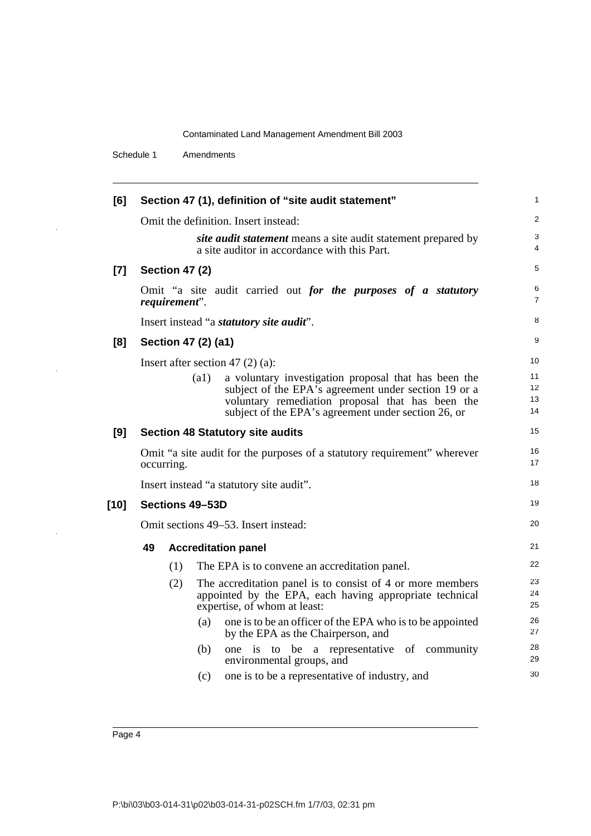Schedule 1 Amendments

| [6]    | Section 47 (1), definition of "site audit statement" |                                         |                                                                                                                                                                                                                                               |                                   |  |  |  |  |
|--------|------------------------------------------------------|-----------------------------------------|-----------------------------------------------------------------------------------------------------------------------------------------------------------------------------------------------------------------------------------------------|-----------------------------------|--|--|--|--|
|        |                                                      |                                         | Omit the definition. Insert instead:                                                                                                                                                                                                          | $\overline{2}$                    |  |  |  |  |
|        |                                                      |                                         | site <i>audit statement</i> means a site audit statement prepared by<br>a site auditor in accordance with this Part.                                                                                                                          | 3<br>4                            |  |  |  |  |
| $[7]$  | <b>Section 47 (2)</b>                                |                                         |                                                                                                                                                                                                                                               |                                   |  |  |  |  |
|        |                                                      | requirement".                           | Omit "a site audit carried out for the purposes of a statutory                                                                                                                                                                                | 6<br>$\overline{7}$               |  |  |  |  |
|        |                                                      |                                         | Insert instead "a <i>statutory site audit</i> ".                                                                                                                                                                                              | 8                                 |  |  |  |  |
| [8]    |                                                      |                                         | Section 47 (2) (a1)                                                                                                                                                                                                                           | 9                                 |  |  |  |  |
|        |                                                      |                                         | Insert after section 47 $(2)$ $(a)$ :                                                                                                                                                                                                         | 10 <sup>1</sup>                   |  |  |  |  |
|        |                                                      |                                         | a voluntary investigation proposal that has been the<br>$\left( a1\right)$<br>subject of the EPA's agreement under section 19 or a<br>voluntary remediation proposal that has been the<br>subject of the EPA's agreement under section 26, or | 11<br>12 <sup>2</sup><br>13<br>14 |  |  |  |  |
| [9]    |                                                      | <b>Section 48 Statutory site audits</b> |                                                                                                                                                                                                                                               |                                   |  |  |  |  |
|        |                                                      | occurring.                              | Omit "a site audit for the purposes of a statutory requirement" wherever                                                                                                                                                                      | 16<br>17                          |  |  |  |  |
|        | Insert instead "a statutory site audit".             |                                         |                                                                                                                                                                                                                                               |                                   |  |  |  |  |
| $[10]$ |                                                      |                                         | Sections 49-53D                                                                                                                                                                                                                               | 19                                |  |  |  |  |
|        |                                                      |                                         | Omit sections 49–53. Insert instead:                                                                                                                                                                                                          | 20                                |  |  |  |  |
|        | 49                                                   |                                         | <b>Accreditation panel</b>                                                                                                                                                                                                                    | 21                                |  |  |  |  |
|        |                                                      | (1)                                     | The EPA is to convene an accreditation panel.                                                                                                                                                                                                 | 22                                |  |  |  |  |
|        |                                                      | (2)                                     | The accreditation panel is to consist of 4 or more members<br>appointed by the EPA, each having appropriate technical<br>expertise, of whom at least:                                                                                         | 23<br>24<br>25                    |  |  |  |  |
|        |                                                      |                                         | one is to be an officer of the EPA who is to be appointed<br>(a)<br>by the EPA as the Chairperson, and                                                                                                                                        | 26<br>27                          |  |  |  |  |
|        |                                                      |                                         | (b)<br>one is to be a representative of community<br>environmental groups, and                                                                                                                                                                | 28<br>29                          |  |  |  |  |
|        |                                                      |                                         | one is to be a representative of industry, and<br>(c)                                                                                                                                                                                         | 30                                |  |  |  |  |

 $\mathbb{R}^2$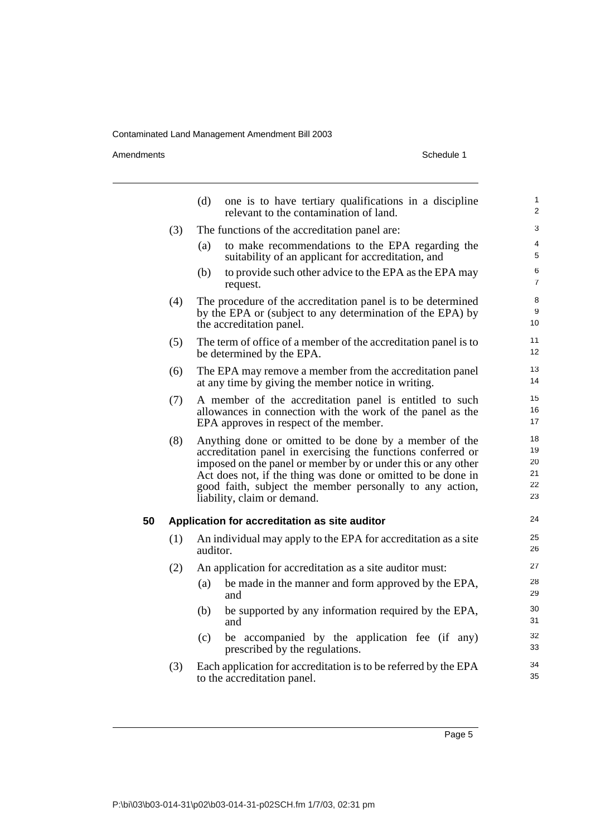Amendments Schedule 1

|    |     | (d)      | one is to have tertiary qualifications in a discipline<br>relevant to the contamination of land.                                                                                                                                                                                                                                                  | $\mathbf{1}$<br>2                |
|----|-----|----------|---------------------------------------------------------------------------------------------------------------------------------------------------------------------------------------------------------------------------------------------------------------------------------------------------------------------------------------------------|----------------------------------|
|    | (3) |          | The functions of the accreditation panel are:                                                                                                                                                                                                                                                                                                     | 3                                |
|    |     | (a)      | to make recommendations to the EPA regarding the<br>suitability of an applicant for accreditation, and                                                                                                                                                                                                                                            | 4<br>5                           |
|    |     | (b)      | to provide such other advice to the EPA as the EPA may<br>request.                                                                                                                                                                                                                                                                                | 6<br>$\overline{7}$              |
|    | (4) |          | The procedure of the accreditation panel is to be determined<br>by the EPA or (subject to any determination of the EPA) by<br>the accreditation panel.                                                                                                                                                                                            | 8<br>9<br>10                     |
|    | (5) |          | The term of office of a member of the accreditation panel is to<br>be determined by the EPA.                                                                                                                                                                                                                                                      | 11<br>12                         |
|    | (6) |          | The EPA may remove a member from the accreditation panel<br>at any time by giving the member notice in writing.                                                                                                                                                                                                                                   | 13<br>14                         |
|    | (7) |          | A member of the accreditation panel is entitled to such<br>allowances in connection with the work of the panel as the<br>EPA approves in respect of the member.                                                                                                                                                                                   | 15<br>16<br>17                   |
|    | (8) |          | Anything done or omitted to be done by a member of the<br>accreditation panel in exercising the functions conferred or<br>imposed on the panel or member by or under this or any other<br>Act does not, if the thing was done or omitted to be done in<br>good faith, subject the member personally to any action,<br>liability, claim or demand. | 18<br>19<br>20<br>21<br>22<br>23 |
| 50 |     |          | Application for accreditation as site auditor                                                                                                                                                                                                                                                                                                     | 24                               |
|    | (1) | auditor. | An individual may apply to the EPA for accreditation as a site                                                                                                                                                                                                                                                                                    | 25<br>26                         |
|    | (2) |          | An application for accreditation as a site auditor must:                                                                                                                                                                                                                                                                                          | 27                               |
|    |     | (a)      | be made in the manner and form approved by the EPA,<br>and                                                                                                                                                                                                                                                                                        | 28<br>29                         |
|    |     | (b)      | be supported by any information required by the EPA,<br>and                                                                                                                                                                                                                                                                                       | 30<br>31                         |
|    |     | (c)      | be accompanied by the application fee (if any)<br>prescribed by the regulations.                                                                                                                                                                                                                                                                  | 32<br>33                         |
|    | (3) |          | Each application for accreditation is to be referred by the EPA<br>to the accreditation panel.                                                                                                                                                                                                                                                    | 34<br>35                         |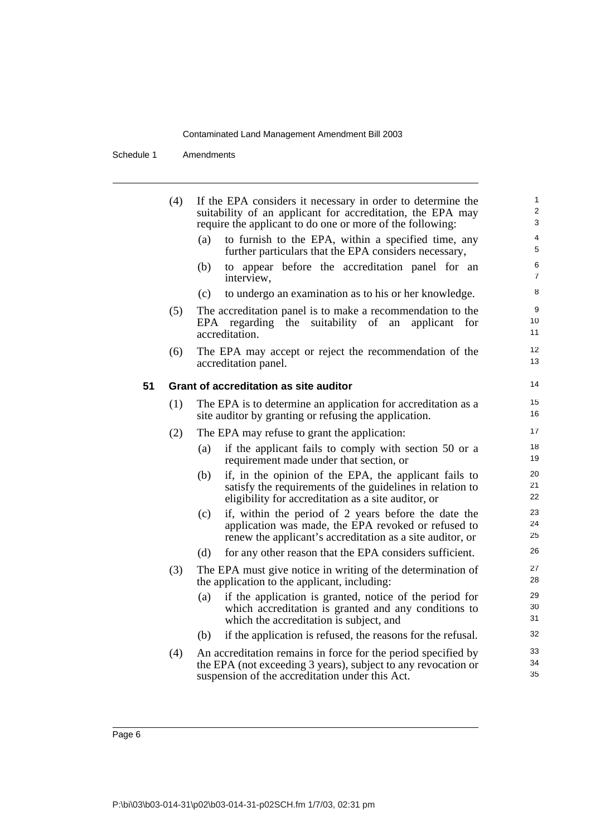Schedule 1 Amendments

|    | (4)                                           | If the EPA considers it necessary in order to determine the<br>suitability of an applicant for accreditation, the EPA may<br>require the applicant to do one or more of the following: | $\mathbf{1}$<br>$\overline{2}$<br>3 |  |  |  |
|----|-----------------------------------------------|----------------------------------------------------------------------------------------------------------------------------------------------------------------------------------------|-------------------------------------|--|--|--|
|    |                                               | to furnish to the EPA, within a specified time, any<br>(a)<br>further particulars that the EPA considers necessary,                                                                    | 4<br>5                              |  |  |  |
|    |                                               | (b)<br>to appear before the accreditation panel for an<br>interview,                                                                                                                   | 6<br>$\overline{7}$                 |  |  |  |
|    |                                               | (c)<br>to undergo an examination as to his or her knowledge.                                                                                                                           | 8                                   |  |  |  |
|    | (5)                                           | The accreditation panel is to make a recommendation to the<br>EPA<br>regarding<br>the suitability of<br>an<br>applicant<br>for<br>accreditation.                                       | 9<br>10 <sup>°</sup><br>11          |  |  |  |
|    | (6)                                           | The EPA may accept or reject the recommendation of the<br>accreditation panel.                                                                                                         | 12<br>13                            |  |  |  |
| 51 | <b>Grant of accreditation as site auditor</b> |                                                                                                                                                                                        |                                     |  |  |  |
|    | (1)                                           | The EPA is to determine an application for accreditation as a<br>site auditor by granting or refusing the application.                                                                 | 15<br>16                            |  |  |  |
|    | (2)                                           | The EPA may refuse to grant the application:                                                                                                                                           |                                     |  |  |  |
|    |                                               | if the applicant fails to comply with section 50 or a<br>(a)<br>requirement made under that section, or                                                                                | 18<br>19                            |  |  |  |
|    |                                               | (b)<br>if, in the opinion of the EPA, the applicant fails to<br>satisfy the requirements of the guidelines in relation to<br>eligibility for accreditation as a site auditor, or       | 20<br>21<br>22                      |  |  |  |
|    |                                               | if, within the period of 2 years before the date the<br>(c)<br>application was made, the EPA revoked or refused to<br>renew the applicant's accreditation as a site auditor, or        | 23<br>24<br>25                      |  |  |  |
|    |                                               | (d)<br>for any other reason that the EPA considers sufficient.                                                                                                                         | 26                                  |  |  |  |
|    | (3)                                           | The EPA must give notice in writing of the determination of<br>the application to the applicant, including:                                                                            | 27<br>28                            |  |  |  |
|    |                                               | if the application is granted, notice of the period for<br>(a)<br>which accreditation is granted and any conditions to<br>which the accreditation is subject, and                      | 29<br>30<br>31                      |  |  |  |
|    |                                               | if the application is refused, the reasons for the refusal.<br>(b)                                                                                                                     | 32                                  |  |  |  |
|    | (4)                                           | An accreditation remains in force for the period specified by<br>the EPA (not exceeding 3 years), subject to any revocation or<br>suspension of the accreditation under this Act.      | 33<br>34<br>35                      |  |  |  |
|    |                                               |                                                                                                                                                                                        |                                     |  |  |  |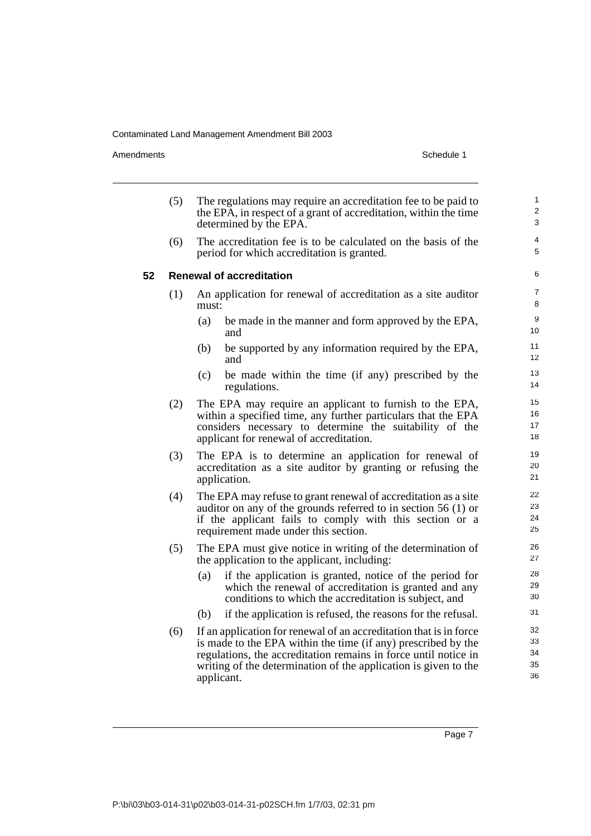Amendments Schedule 1

|    | (5)                             | The regulations may require an accreditation fee to be paid to<br>the EPA, in respect of a grant of accreditation, within the time<br>determined by the EPA.                                                                                                              |                      |  |  |  |  |
|----|---------------------------------|---------------------------------------------------------------------------------------------------------------------------------------------------------------------------------------------------------------------------------------------------------------------------|----------------------|--|--|--|--|
|    | (6)                             | The accreditation fee is to be calculated on the basis of the<br>period for which accreditation is granted.                                                                                                                                                               |                      |  |  |  |  |
| 52 | <b>Renewal of accreditation</b> |                                                                                                                                                                                                                                                                           |                      |  |  |  |  |
|    | (1)                             | An application for renewal of accreditation as a site auditor<br>must:                                                                                                                                                                                                    |                      |  |  |  |  |
|    |                                 | (a)<br>be made in the manner and form approved by the EPA,<br>and                                                                                                                                                                                                         | 9<br>10              |  |  |  |  |
|    |                                 | be supported by any information required by the EPA,<br>(b)<br>and                                                                                                                                                                                                        | 11<br>12             |  |  |  |  |
|    |                                 | be made within the time (if any) prescribed by the<br>(c)<br>regulations.                                                                                                                                                                                                 | 13<br>14             |  |  |  |  |
|    | (2)                             | The EPA may require an applicant to furnish to the EPA,<br>within a specified time, any further particulars that the EPA<br>considers necessary to determine the suitability of the<br>applicant for renewal of accreditation.                                            | 15<br>16<br>17<br>18 |  |  |  |  |
|    | (3)                             | The EPA is to determine an application for renewal of<br>accreditation as a site auditor by granting or refusing the<br>application.                                                                                                                                      | 19<br>20<br>21       |  |  |  |  |
|    | (4)                             | The EPA may refuse to grant renewal of accreditation as a site<br>auditor on any of the grounds referred to in section $56(1)$ or<br>if the applicant fails to comply with this section or a<br>requirement made under this section.                                      | 22<br>23<br>24<br>25 |  |  |  |  |
|    | (5)                             | The EPA must give notice in writing of the determination of<br>the application to the applicant, including:                                                                                                                                                               | 26<br>27             |  |  |  |  |
|    |                                 | if the application is granted, notice of the period for<br>(a)<br>which the renewal of accreditation is granted and any<br>conditions to which the accreditation is subject, and                                                                                          | 28<br>29<br>30       |  |  |  |  |
|    |                                 | if the application is refused, the reasons for the refusal.<br>(b)                                                                                                                                                                                                        | 31                   |  |  |  |  |
|    | (6)                             | If an application for renewal of an accreditation that is in force<br>is made to the EPA within the time (if any) prescribed by the<br>regulations, the accreditation remains in force until notice in<br>writing of the determination of the application is given to the | 32<br>33<br>34<br>35 |  |  |  |  |

Page 7

36

applicant.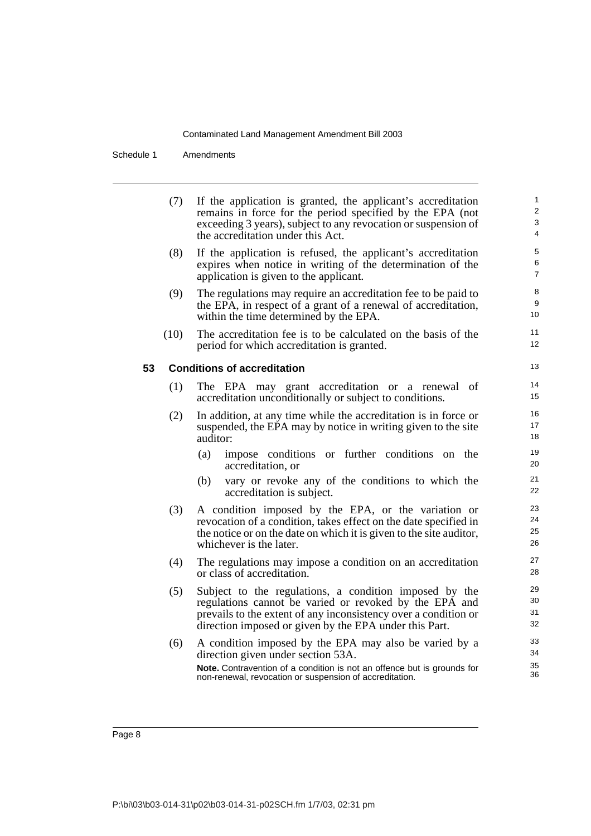Schedule 1 Amendments

(7) If the application is granted, the applicant's accreditation remains in force for the period specified by the EPA (not exceeding 3 years), subject to any revocation or suspension of the accreditation under this Act. (8) If the application is refused, the applicant's accreditation expires when notice in writing of the determination of the application is given to the applicant. (9) The regulations may require an accreditation fee to be paid to the EPA, in respect of a grant of a renewal of accreditation, within the time determined by the EPA. (10) The accreditation fee is to be calculated on the basis of the period for which accreditation is granted. **53 Conditions of accreditation** (1) The EPA may grant accreditation or a renewal of accreditation unconditionally or subject to conditions. (2) In addition, at any time while the accreditation is in force or suspended, the EPA may by notice in writing given to the site auditor: (a) impose conditions or further conditions on the accreditation, or (b) vary or revoke any of the conditions to which the accreditation is subject. (3) A condition imposed by the EPA, or the variation or revocation of a condition, takes effect on the date specified in the notice or on the date on which it is given to the site auditor, whichever is the later. (4) The regulations may impose a condition on an accreditation or class of accreditation. (5) Subject to the regulations, a condition imposed by the regulations cannot be varied or revoked by the EPA and prevails to the extent of any inconsistency over a condition or direction imposed or given by the EPA under this Part. (6) A condition imposed by the EPA may also be varied by a direction given under section 53A. **Note.** Contravention of a condition is not an offence but is grounds for non-renewal, revocation or suspension of accreditation. 1  $\overline{2}$ 3 4 5 6 7 8 9 10 11 12 13 14 15 16 17 18 19 20 21 22 23 24 25 26 27 28 29 30 31 32 33 34 35 36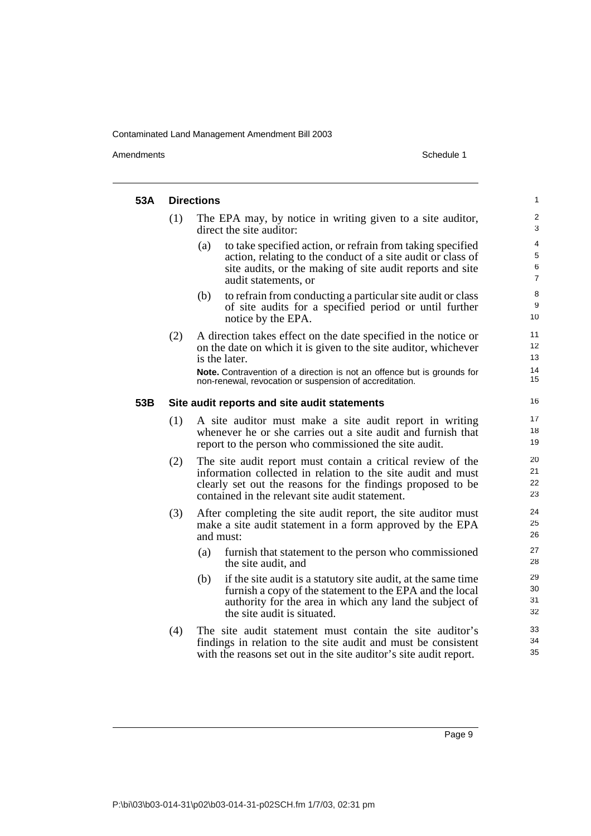Amendments Schedule 1

| 53A | <b>Directions</b>                            |                                                                                                                                                                                                                                               |                      |  |  |  |  |
|-----|----------------------------------------------|-----------------------------------------------------------------------------------------------------------------------------------------------------------------------------------------------------------------------------------------------|----------------------|--|--|--|--|
|     | (1)                                          | The EPA may, by notice in writing given to a site auditor,<br>direct the site auditor:                                                                                                                                                        | $\overline{c}$<br>3  |  |  |  |  |
|     |                                              | to take specified action, or refrain from taking specified<br>(a)<br>action, relating to the conduct of a site audit or class of<br>site audits, or the making of site audit reports and site<br>audit statements, or                         | 4<br>5<br>6<br>7     |  |  |  |  |
|     |                                              | to refrain from conducting a particular site audit or class<br>(b)<br>of site audits for a specified period or until further<br>notice by the EPA.                                                                                            | 8<br>9<br>10         |  |  |  |  |
|     | (2)                                          | A direction takes effect on the date specified in the notice or<br>on the date on which it is given to the site auditor, whichever<br>is the later.                                                                                           | 11<br>12<br>13       |  |  |  |  |
|     |                                              | Note. Contravention of a direction is not an offence but is grounds for<br>non-renewal, revocation or suspension of accreditation.                                                                                                            | 14<br>15             |  |  |  |  |
| 53B | Site audit reports and site audit statements |                                                                                                                                                                                                                                               |                      |  |  |  |  |
|     | (1)                                          | A site auditor must make a site audit report in writing<br>whenever he or she carries out a site audit and furnish that<br>report to the person who commissioned the site audit.                                                              | 17<br>18<br>19       |  |  |  |  |
|     | (2)                                          | The site audit report must contain a critical review of the<br>information collected in relation to the site audit and must<br>clearly set out the reasons for the findings proposed to be<br>contained in the relevant site audit statement. | 20<br>21<br>22<br>23 |  |  |  |  |
|     | (3)                                          | After completing the site audit report, the site auditor must<br>make a site audit statement in a form approved by the EPA<br>and must:                                                                                                       | 24<br>25<br>26       |  |  |  |  |
|     |                                              | (a)<br>furnish that statement to the person who commissioned<br>the site audit, and                                                                                                                                                           | 27<br>28             |  |  |  |  |
|     |                                              | if the site audit is a statutory site audit, at the same time<br>(b)<br>furnish a copy of the statement to the EPA and the local<br>authority for the area in which any land the subject of<br>the site audit is situated.                    | 29<br>30<br>31<br>32 |  |  |  |  |
|     | (4)                                          | The site audit statement must contain the site auditor's<br>findings in relation to the site audit and must be consistent<br>with the reasons set out in the site auditor's site audit report.                                                | 33<br>34<br>35       |  |  |  |  |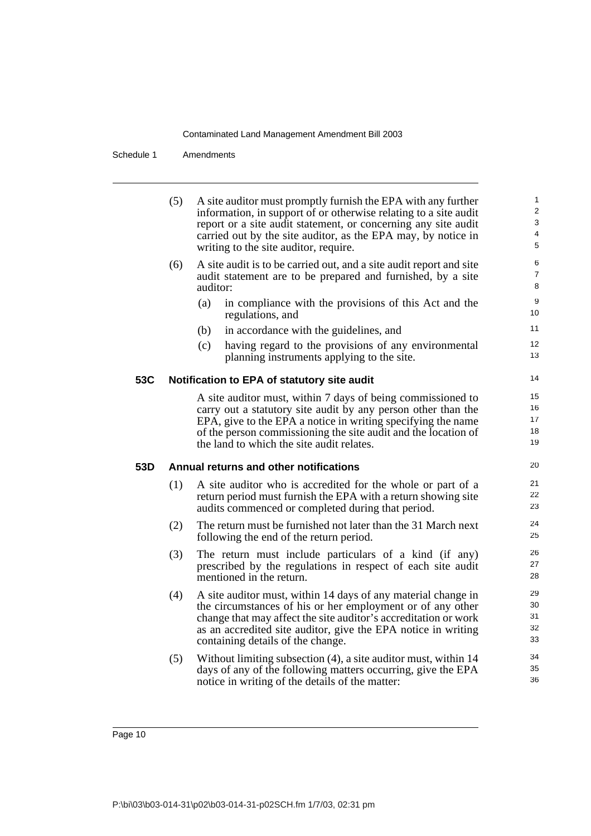Schedule 1 Amendments

|     | (5) | A site auditor must promptly furnish the EPA with any further<br>information, in support of or otherwise relating to a site audit<br>report or a site audit statement, or concerning any site audit<br>carried out by the site auditor, as the EPA may, by notice in<br>writing to the site auditor, require. | $\mathbf{1}$<br>$\overline{2}$<br>3<br>4<br>5 |
|-----|-----|---------------------------------------------------------------------------------------------------------------------------------------------------------------------------------------------------------------------------------------------------------------------------------------------------------------|-----------------------------------------------|
|     | (6) | A site audit is to be carried out, and a site audit report and site<br>audit statement are to be prepared and furnished, by a site<br>auditor:                                                                                                                                                                | 6<br>$\overline{7}$<br>8                      |
|     |     | (a)<br>in compliance with the provisions of this Act and the<br>regulations, and                                                                                                                                                                                                                              | 9<br>10                                       |
|     |     | in accordance with the guidelines, and<br>(b)                                                                                                                                                                                                                                                                 | 11                                            |
|     |     | having regard to the provisions of any environmental<br>(c)<br>planning instruments applying to the site.                                                                                                                                                                                                     | 12<br>13                                      |
| 53C |     | Notification to EPA of statutory site audit                                                                                                                                                                                                                                                                   | 14                                            |
|     |     | A site auditor must, within 7 days of being commissioned to<br>carry out a statutory site audit by any person other than the<br>EPA, give to the EPA a notice in writing specifying the name<br>of the person commissioning the site audit and the location of<br>the land to which the site audit relates.   | 15<br>16<br>17<br>18<br>19                    |
| 53D |     | Annual returns and other notifications                                                                                                                                                                                                                                                                        | 20                                            |
|     | (1) | A site auditor who is accredited for the whole or part of a<br>return period must furnish the EPA with a return showing site<br>audits commenced or completed during that period.                                                                                                                             | 21<br>22<br>23                                |
|     | (2) | The return must be furnished not later than the 31 March next<br>following the end of the return period.                                                                                                                                                                                                      | 24<br>25                                      |
|     | (3) | The return must include particulars of a kind (if any)<br>prescribed by the regulations in respect of each site audit<br>mentioned in the return.                                                                                                                                                             | 26<br>27<br>28                                |
|     | (4) | A site auditor must, within 14 days of any material change in<br>the circumstances of his or her employment or of any other<br>change that may affect the site auditor's accreditation or work<br>as an accredited site auditor, give the EPA notice in writing<br>containing details of the change.          | 29<br>30<br>31<br>32<br>33                    |
|     | (5) | Without limiting subsection (4), a site auditor must, within 14<br>days of any of the following matters occurring, give the EPA<br>notice in writing of the details of the matter:                                                                                                                            | 34<br>35<br>36                                |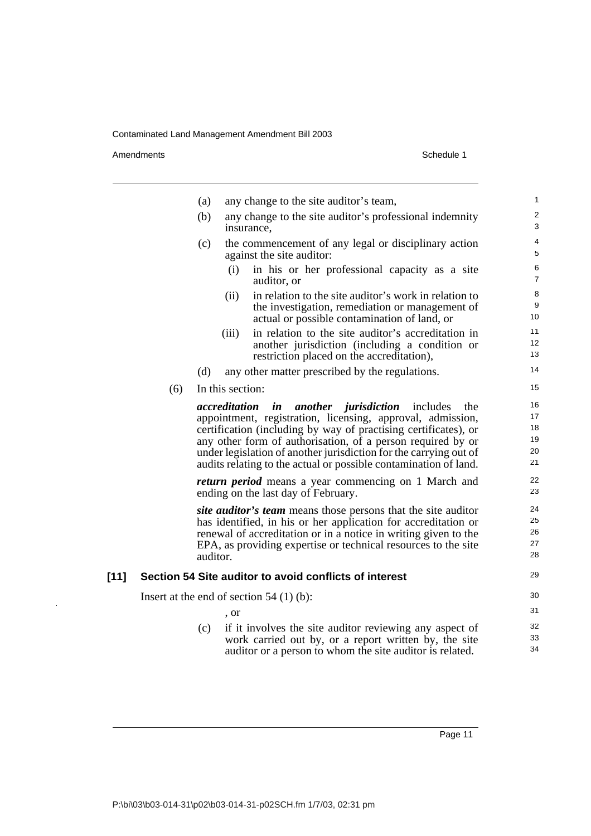Amendments Schedule 1

 $\frac{1}{\sqrt{2}}$ 

| 1                                |
|----------------------------------|
|                                  |
| $\overline{\mathbf{c}}$<br>3     |
| 4<br>5                           |
| 6<br>7                           |
| 8<br>9<br>10                     |
| 11<br>12<br>13                   |
| 14                               |
| 15                               |
| 16<br>17<br>18<br>19<br>20<br>21 |
| 22<br>23                         |
| 24<br>25<br>26<br>27<br>28       |
| 29                               |
| 30                               |
| 31                               |
| 32<br>33<br>34                   |
|                                  |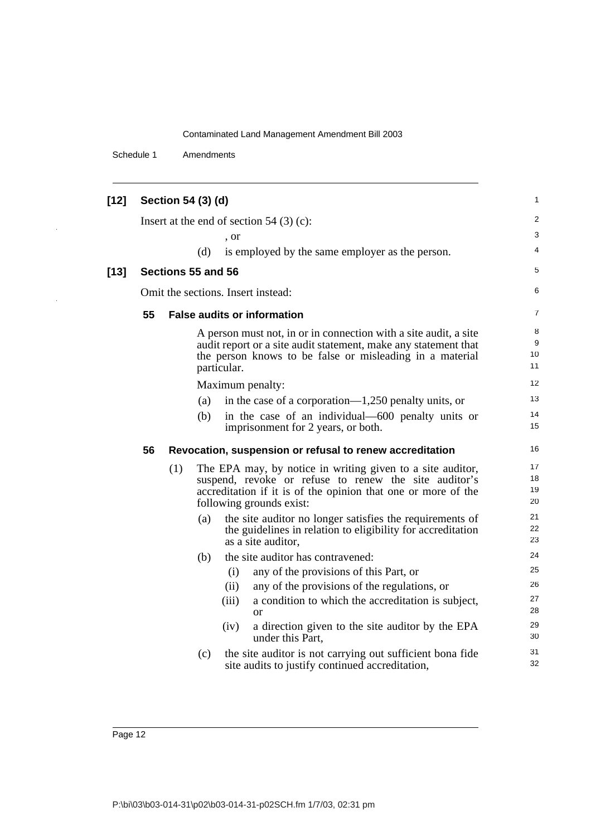Schedule 1 Amendments

| $[12]$ |    | Section 54 (3) (d)                         |                |             |                                                                                                                                                                                                                  | 1                               |
|--------|----|--------------------------------------------|----------------|-------------|------------------------------------------------------------------------------------------------------------------------------------------------------------------------------------------------------------------|---------------------------------|
|        |    | Insert at the end of section 54 $(3)$ (c): | $\overline{2}$ |             |                                                                                                                                                                                                                  |                                 |
|        |    |                                            |                |             |                                                                                                                                                                                                                  | 3                               |
|        |    |                                            | (d)            | , or        | is employed by the same employer as the person.                                                                                                                                                                  | 4                               |
|        |    |                                            |                |             |                                                                                                                                                                                                                  |                                 |
| $[13]$ |    | Sections 55 and 56                         |                |             |                                                                                                                                                                                                                  | 5                               |
|        |    |                                            |                |             | Omit the sections. Insert instead:                                                                                                                                                                               | 6                               |
|        | 55 |                                            |                |             | <b>False audits or information</b>                                                                                                                                                                               | $\overline{7}$                  |
|        |    |                                            |                | particular. | A person must not, in or in connection with a site audit, a site<br>audit report or a site audit statement, make any statement that<br>the person knows to be false or misleading in a material                  | 8<br>9<br>10 <sup>1</sup><br>11 |
|        |    |                                            |                |             | Maximum penalty:                                                                                                                                                                                                 | 12                              |
|        |    |                                            | (a)            |             | in the case of a corporation— $1,250$ penalty units, or                                                                                                                                                          | 13                              |
|        |    |                                            | (b)            |             | in the case of an individual—600 penalty units or<br>imprisonment for 2 years, or both.                                                                                                                          | 14<br>15                        |
|        | 56 |                                            |                |             | Revocation, suspension or refusal to renew accreditation                                                                                                                                                         | 16                              |
|        |    | (1)                                        |                |             | The EPA may, by notice in writing given to a site auditor,<br>suspend, revoke or refuse to renew the site auditor's<br>accreditation if it is of the opinion that one or more of the<br>following grounds exist: | 17<br>18<br>19<br>20            |
|        |    |                                            | (a)            |             | the site auditor no longer satisfies the requirements of<br>the guidelines in relation to eligibility for accreditation<br>as a site auditor,                                                                    | 21<br>22<br>23                  |
|        |    |                                            | (b)            |             | the site auditor has contravened:                                                                                                                                                                                | 24                              |
|        |    |                                            |                | (i)         | any of the provisions of this Part, or                                                                                                                                                                           | 25                              |
|        |    |                                            |                | (ii)        | any of the provisions of the regulations, or                                                                                                                                                                     | 26                              |
|        |    |                                            |                | (iii)       | a condition to which the accreditation is subject,<br><sub>or</sub>                                                                                                                                              | 27<br>28                        |
|        |    |                                            |                | (iv)        | a direction given to the site auditor by the EPA<br>under this Part.                                                                                                                                             | 29<br>30                        |
|        |    |                                            | (c)            |             | the site auditor is not carrying out sufficient bona fide<br>site audits to justify continued accreditation,                                                                                                     | 31<br>32                        |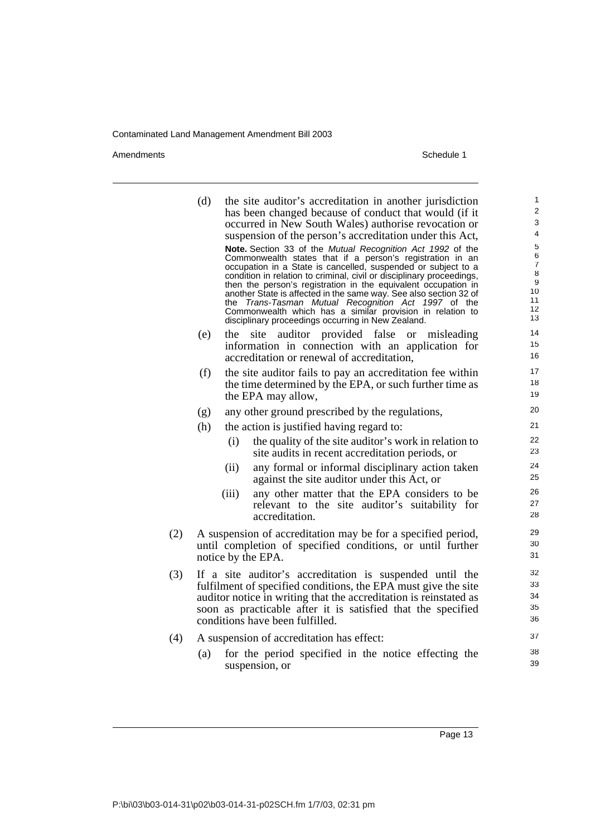Amendments Schedule 1

| (d) | the site auditor's accreditation in another jurisdiction<br>has been changed because of conduct that would (if it<br>occurred in New South Wales) authorise revocation or<br>suspension of the person's accreditation under this Act,<br>Note. Section 33 of the Mutual Recognition Act 1992 of the<br>Commonwealth states that if a person's registration in an<br>occupation in a State is cancelled, suspended or subject to a<br>condition in relation to criminal, civil or disciplinary proceedings,<br>then the person's registration in the equivalent occupation in<br>another State is affected in the same way. See also section 32 of<br>the Trans-Tasman Mutual Recognition Act 1997 of the<br>Commonwealth which has a similar provision in relation to<br>disciplinary proceedings occurring in New Zealand. | 1<br>$\mathbf 2$<br>3<br>4<br>5<br>$\,6$<br>$\overline{7}$<br>$\,8\,$<br>9<br>10<br>11<br>12<br>13                                                                                                                                                                                                                                                                                                                                                                                                  |
|-----|-----------------------------------------------------------------------------------------------------------------------------------------------------------------------------------------------------------------------------------------------------------------------------------------------------------------------------------------------------------------------------------------------------------------------------------------------------------------------------------------------------------------------------------------------------------------------------------------------------------------------------------------------------------------------------------------------------------------------------------------------------------------------------------------------------------------------------|-----------------------------------------------------------------------------------------------------------------------------------------------------------------------------------------------------------------------------------------------------------------------------------------------------------------------------------------------------------------------------------------------------------------------------------------------------------------------------------------------------|
| (e) | the site auditor provided false or misleading<br>information in connection with an application for<br>accreditation or renewal of accreditation,                                                                                                                                                                                                                                                                                                                                                                                                                                                                                                                                                                                                                                                                            | 14<br>15<br>16                                                                                                                                                                                                                                                                                                                                                                                                                                                                                      |
| (f) | the site auditor fails to pay an accreditation fee within<br>the time determined by the EPA, or such further time as<br>the EPA may allow,                                                                                                                                                                                                                                                                                                                                                                                                                                                                                                                                                                                                                                                                                  | 17<br>18<br>19                                                                                                                                                                                                                                                                                                                                                                                                                                                                                      |
| (g) | any other ground prescribed by the regulations,                                                                                                                                                                                                                                                                                                                                                                                                                                                                                                                                                                                                                                                                                                                                                                             | 20                                                                                                                                                                                                                                                                                                                                                                                                                                                                                                  |
| (h) | the action is justified having regard to:                                                                                                                                                                                                                                                                                                                                                                                                                                                                                                                                                                                                                                                                                                                                                                                   | 21                                                                                                                                                                                                                                                                                                                                                                                                                                                                                                  |
|     | the quality of the site auditor's work in relation to<br>(i)<br>site audits in recent accreditation periods, or                                                                                                                                                                                                                                                                                                                                                                                                                                                                                                                                                                                                                                                                                                             | 22<br>23                                                                                                                                                                                                                                                                                                                                                                                                                                                                                            |
|     | any formal or informal disciplinary action taken<br>(ii)<br>against the site auditor under this Act, or                                                                                                                                                                                                                                                                                                                                                                                                                                                                                                                                                                                                                                                                                                                     | 24<br>25                                                                                                                                                                                                                                                                                                                                                                                                                                                                                            |
|     | (iii)<br>any other matter that the EPA considers to be<br>relevant to the site auditor's suitability for<br>accreditation.                                                                                                                                                                                                                                                                                                                                                                                                                                                                                                                                                                                                                                                                                                  | 26<br>27<br>28                                                                                                                                                                                                                                                                                                                                                                                                                                                                                      |
|     |                                                                                                                                                                                                                                                                                                                                                                                                                                                                                                                                                                                                                                                                                                                                                                                                                             | 29<br>30<br>31                                                                                                                                                                                                                                                                                                                                                                                                                                                                                      |
|     |                                                                                                                                                                                                                                                                                                                                                                                                                                                                                                                                                                                                                                                                                                                                                                                                                             | 32<br>33<br>34<br>35<br>36                                                                                                                                                                                                                                                                                                                                                                                                                                                                          |
|     |                                                                                                                                                                                                                                                                                                                                                                                                                                                                                                                                                                                                                                                                                                                                                                                                                             | 37                                                                                                                                                                                                                                                                                                                                                                                                                                                                                                  |
| (a) | for the period specified in the notice effecting the<br>suspension, or                                                                                                                                                                                                                                                                                                                                                                                                                                                                                                                                                                                                                                                                                                                                                      | 38<br>39                                                                                                                                                                                                                                                                                                                                                                                                                                                                                            |
|     |                                                                                                                                                                                                                                                                                                                                                                                                                                                                                                                                                                                                                                                                                                                                                                                                                             | A suspension of accreditation may be for a specified period,<br>until completion of specified conditions, or until further<br>notice by the EPA.<br>If a site auditor's accreditation is suspended until the<br>fulfilment of specified conditions, the EPA must give the site<br>auditor notice in writing that the accreditation is reinstated as<br>soon as practicable after it is satisfied that the specified<br>conditions have been fulfilled.<br>A suspension of accreditation has effect: |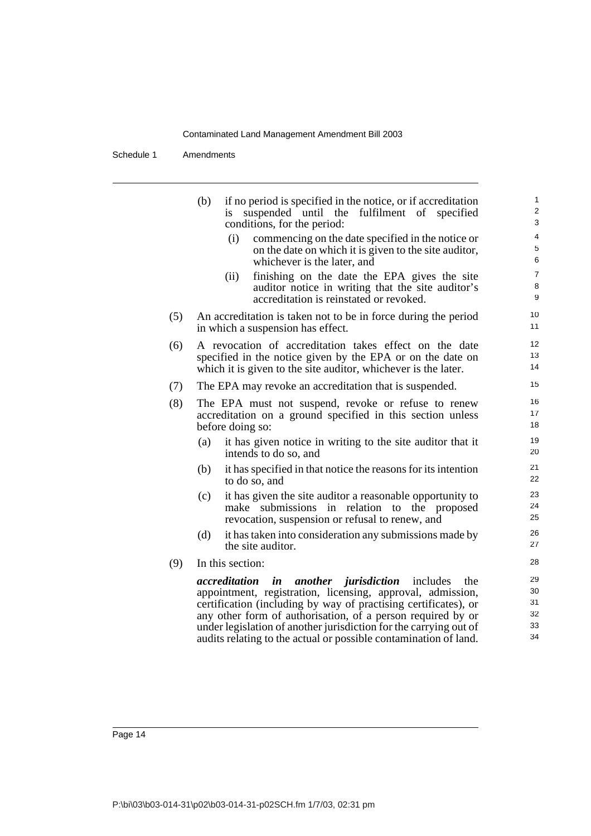Schedule 1 Amendments

|     | (b)                                                                                                                                                                                                                                                                                                                                                                                                                            | if no period is specified in the notice, or if accreditation<br>suspended until the<br>fulfilment of<br>specified<br><i>is</i><br>conditions, for the period:         | 1<br>$\overline{2}$<br>3 |  |  |  |  |  |
|-----|--------------------------------------------------------------------------------------------------------------------------------------------------------------------------------------------------------------------------------------------------------------------------------------------------------------------------------------------------------------------------------------------------------------------------------|-----------------------------------------------------------------------------------------------------------------------------------------------------------------------|--------------------------|--|--|--|--|--|
|     |                                                                                                                                                                                                                                                                                                                                                                                                                                | commencing on the date specified in the notice or<br>(i)<br>on the date on which it is given to the site auditor,<br>whichever is the later, and                      | 4<br>5<br>6              |  |  |  |  |  |
|     |                                                                                                                                                                                                                                                                                                                                                                                                                                | finishing on the date the EPA gives the site<br>(ii)<br>auditor notice in writing that the site auditor's<br>accreditation is reinstated or revoked.                  | $\overline{7}$<br>8<br>9 |  |  |  |  |  |
| (5) | 10<br>An accreditation is taken not to be in force during the period<br>11<br>in which a suspension has effect.                                                                                                                                                                                                                                                                                                                |                                                                                                                                                                       |                          |  |  |  |  |  |
| (6) | 12<br>A revocation of accreditation takes effect on the date<br>13<br>specified in the notice given by the EPA or on the date on<br>14<br>which it is given to the site auditor, whichever is the later.                                                                                                                                                                                                                       |                                                                                                                                                                       |                          |  |  |  |  |  |
| (7) |                                                                                                                                                                                                                                                                                                                                                                                                                                | The EPA may revoke an accreditation that is suspended.                                                                                                                | 15                       |  |  |  |  |  |
| (8) | The EPA must not suspend, revoke or refuse to renew<br>accreditation on a ground specified in this section unless<br>before doing so:                                                                                                                                                                                                                                                                                          |                                                                                                                                                                       |                          |  |  |  |  |  |
|     | (a)                                                                                                                                                                                                                                                                                                                                                                                                                            | it has given notice in writing to the site auditor that it<br>intends to do so, and                                                                                   | 19<br>20                 |  |  |  |  |  |
|     | (b)                                                                                                                                                                                                                                                                                                                                                                                                                            | it has specified in that notice the reasons for its intention<br>to do so, and                                                                                        | 21<br>22                 |  |  |  |  |  |
|     | (c)                                                                                                                                                                                                                                                                                                                                                                                                                            | it has given the site auditor a reasonable opportunity to<br>relation<br>make submissions in<br>to the<br>proposed<br>revocation, suspension or refusal to renew, and | 23<br>24<br>25           |  |  |  |  |  |
|     | (d)                                                                                                                                                                                                                                                                                                                                                                                                                            | it has taken into consideration any submissions made by<br>the site auditor.                                                                                          | 26<br>27                 |  |  |  |  |  |
| (9) | In this section:                                                                                                                                                                                                                                                                                                                                                                                                               |                                                                                                                                                                       |                          |  |  |  |  |  |
|     | <i>accreditation</i><br>another jurisdiction<br>$\boldsymbol{i}$ n<br>includes<br>the<br>appointment, registration, licensing, approval, admission,<br>certification (including by way of practising certificates), or<br>any other form of authorisation, of a person required by or<br>under legislation of another jurisdiction for the carrying out of<br>audits relating to the actual or possible contamination of land. |                                                                                                                                                                       |                          |  |  |  |  |  |
|     |                                                                                                                                                                                                                                                                                                                                                                                                                                |                                                                                                                                                                       |                          |  |  |  |  |  |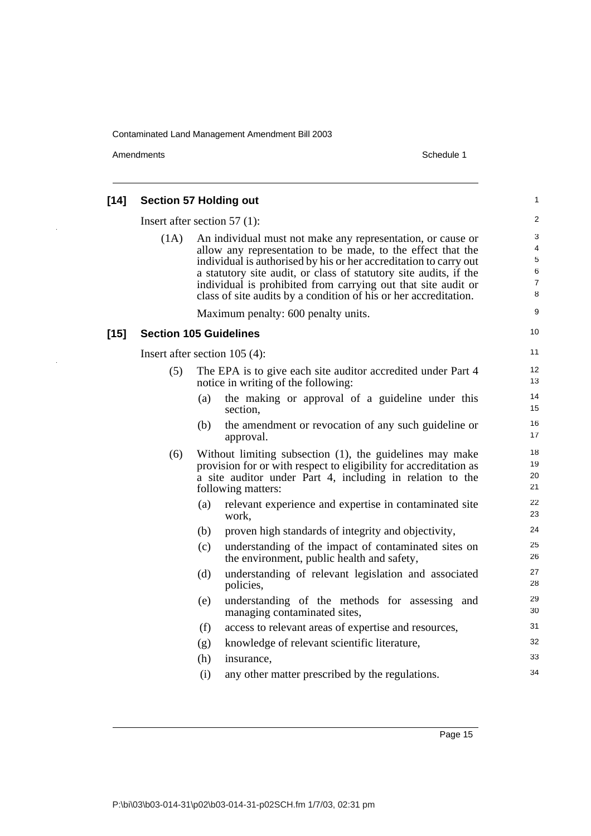Amendments **Schedule 1** 

l,

| $[14]$ | <b>Section 57 Holding out</b>   |     |                                                                                                                                                                                                                                                                                                                                                                                                           | $\mathbf{1}$                            |  |  |  |  |
|--------|---------------------------------|-----|-----------------------------------------------------------------------------------------------------------------------------------------------------------------------------------------------------------------------------------------------------------------------------------------------------------------------------------------------------------------------------------------------------------|-----------------------------------------|--|--|--|--|
|        | Insert after section $57(1)$ :  |     |                                                                                                                                                                                                                                                                                                                                                                                                           |                                         |  |  |  |  |
|        | (1A)                            |     | An individual must not make any representation, or cause or<br>allow any representation to be made, to the effect that the<br>individual is authorised by his or her accreditation to carry out<br>a statutory site audit, or class of statutory site audits, if the<br>individual is prohibited from carrying out that site audit or<br>class of site audits by a condition of his or her accreditation. | 3<br>4<br>5<br>6<br>$\overline{7}$<br>8 |  |  |  |  |
|        |                                 |     | Maximum penalty: 600 penalty units.                                                                                                                                                                                                                                                                                                                                                                       | 9                                       |  |  |  |  |
| $[15]$ | <b>Section 105 Guidelines</b>   |     |                                                                                                                                                                                                                                                                                                                                                                                                           | 10                                      |  |  |  |  |
|        | Insert after section $105(4)$ : |     |                                                                                                                                                                                                                                                                                                                                                                                                           |                                         |  |  |  |  |
|        | (5)                             |     | The EPA is to give each site auditor accredited under Part 4<br>notice in writing of the following:                                                                                                                                                                                                                                                                                                       | 12<br>13                                |  |  |  |  |
|        |                                 | (a) | the making or approval of a guideline under this<br>section,                                                                                                                                                                                                                                                                                                                                              | 14<br>15                                |  |  |  |  |
|        |                                 | (b) | the amendment or revocation of any such guideline or<br>approval.                                                                                                                                                                                                                                                                                                                                         | 16<br>17                                |  |  |  |  |
|        | (6)                             |     | Without limiting subsection (1), the guidelines may make<br>provision for or with respect to eligibility for accreditation as<br>a site auditor under Part 4, including in relation to the<br>following matters:                                                                                                                                                                                          | 18<br>19<br>20<br>21                    |  |  |  |  |
|        |                                 | (a) | relevant experience and expertise in contaminated site<br>work,                                                                                                                                                                                                                                                                                                                                           | 22<br>23                                |  |  |  |  |
|        |                                 | (b) | proven high standards of integrity and objectivity,                                                                                                                                                                                                                                                                                                                                                       | 24                                      |  |  |  |  |
|        |                                 | (c) | understanding of the impact of contaminated sites on<br>the environment, public health and safety,                                                                                                                                                                                                                                                                                                        | 25<br>26                                |  |  |  |  |
|        |                                 | (d) | understanding of relevant legislation and associated<br>policies,                                                                                                                                                                                                                                                                                                                                         | 27<br>28                                |  |  |  |  |
|        |                                 | (e) | understanding of the methods for assessing and<br>managing contaminated sites,                                                                                                                                                                                                                                                                                                                            | 29<br>30                                |  |  |  |  |
|        |                                 | (f) | access to relevant areas of expertise and resources,                                                                                                                                                                                                                                                                                                                                                      | 31                                      |  |  |  |  |
|        |                                 | (g) | knowledge of relevant scientific literature,                                                                                                                                                                                                                                                                                                                                                              | 32                                      |  |  |  |  |
|        |                                 | (h) | insurance,                                                                                                                                                                                                                                                                                                                                                                                                | 33                                      |  |  |  |  |
|        |                                 | (i) | any other matter prescribed by the regulations.                                                                                                                                                                                                                                                                                                                                                           | 34                                      |  |  |  |  |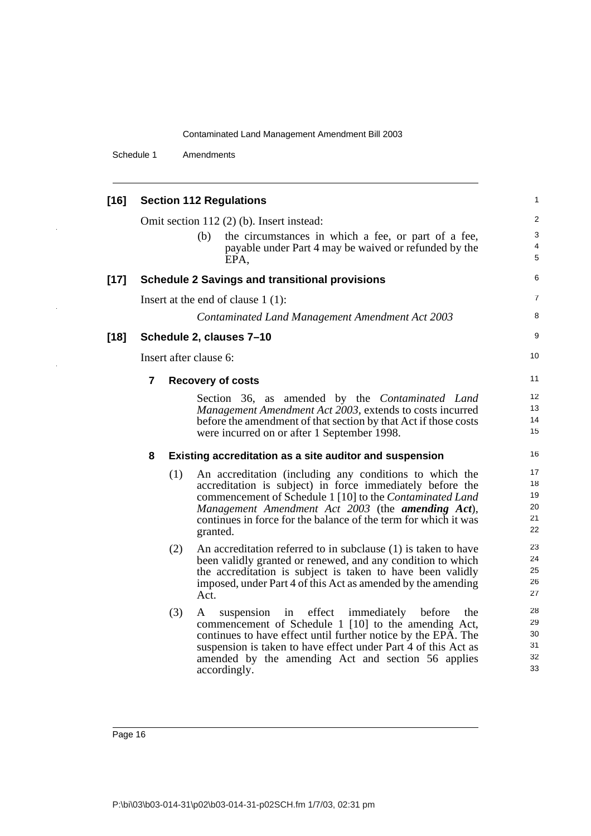Schedule 1 Amendments

 $\overline{\phantom{a}}$ 

| $[16]$ | <b>Section 112 Regulations</b>                                                          |                        |          |                                                                                                                                                                                                                                                                                                                          |                                        |  |  |  |
|--------|-----------------------------------------------------------------------------------------|------------------------|----------|--------------------------------------------------------------------------------------------------------------------------------------------------------------------------------------------------------------------------------------------------------------------------------------------------------------------------|----------------------------------------|--|--|--|
|        |                                                                                         |                        | (b)      | Omit section 112 (2) (b). Insert instead:<br>the circumstances in which a fee, or part of a fee,<br>payable under Part 4 may be waived or refunded by the<br>EPA,                                                                                                                                                        | $\overline{\mathbf{c}}$<br>3<br>4<br>5 |  |  |  |
| $[17]$ |                                                                                         |                        |          | <b>Schedule 2 Savings and transitional provisions</b>                                                                                                                                                                                                                                                                    | 6                                      |  |  |  |
|        | Insert at the end of clause $1(1)$ :<br>Contaminated Land Management Amendment Act 2003 |                        |          |                                                                                                                                                                                                                                                                                                                          |                                        |  |  |  |
|        |                                                                                         |                        |          |                                                                                                                                                                                                                                                                                                                          |                                        |  |  |  |
| $[18]$ | Schedule 2, clauses 7-10                                                                |                        |          |                                                                                                                                                                                                                                                                                                                          |                                        |  |  |  |
|        |                                                                                         | Insert after clause 6: |          |                                                                                                                                                                                                                                                                                                                          |                                        |  |  |  |
|        | $\overline{7}$                                                                          |                        |          | <b>Recovery of costs</b>                                                                                                                                                                                                                                                                                                 | 11                                     |  |  |  |
|        |                                                                                         |                        |          | Section 36, as amended by the Contaminated Land<br>Management Amendment Act 2003, extends to costs incurred<br>before the amendment of that section by that Act if those costs<br>were incurred on or after 1 September 1998.                                                                                            | 12<br>13<br>14<br>15                   |  |  |  |
|        | 8                                                                                       |                        |          | Existing accreditation as a site auditor and suspension                                                                                                                                                                                                                                                                  | 16                                     |  |  |  |
|        |                                                                                         | (1)                    | granted. | An accreditation (including any conditions to which the<br>accreditation is subject) in force immediately before the<br>commencement of Schedule 1 [10] to the Contaminated Land<br>Management Amendment Act 2003 (the amending Act),<br>continues in force for the balance of the term for which it was                 | 17<br>18<br>19<br>20<br>21<br>22       |  |  |  |
|        |                                                                                         | (2)                    | Act.     | An accreditation referred to in subclause (1) is taken to have<br>been validly granted or renewed, and any condition to which<br>the accreditation is subject is taken to have been validly<br>imposed, under Part 4 of this Act as amended by the amending                                                              | 23<br>24<br>25<br>26<br>27             |  |  |  |
|        |                                                                                         | (3)                    | A        | in effect<br>immediately<br>before<br>suspension<br>the<br>commencement of Schedule 1 [10] to the amending Act,<br>continues to have effect until further notice by the EPA. The<br>suspension is taken to have effect under Part 4 of this Act as<br>amended by the amending Act and section 56 applies<br>accordingly. | 28<br>29<br>30<br>31<br>32<br>33       |  |  |  |